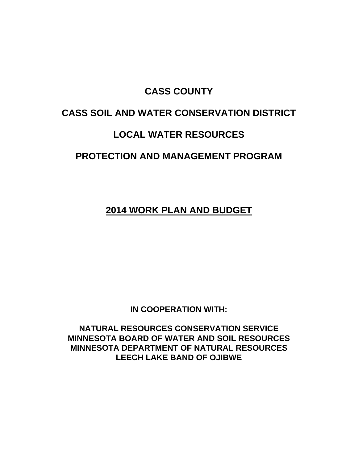## **CASS COUNTY**

# **CASS SOIL AND WATER CONSERVATION DISTRICT**

## **LOCAL WATER RESOURCES**

# **PROTECTION AND MANAGEMENT PROGRAM**

**2014 WORK PLAN AND BUDGET**

**IN COOPERATION WITH:**

**NATURAL RESOURCES CONSERVATION SERVICE MINNESOTA BOARD OF WATER AND SOIL RESOURCES MINNESOTA DEPARTMENT OF NATURAL RESOURCES LEECH LAKE BAND OF OJIBWE**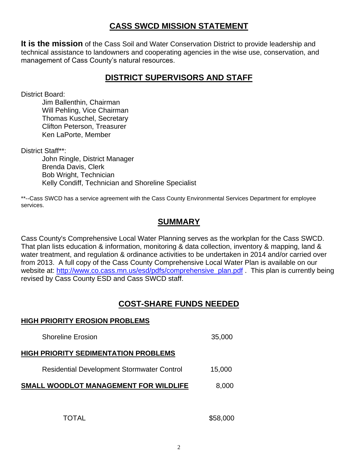### **CASS SWCD MISSION STATEMENT**

**It is the mission** of the Cass Soil and Water Conservation District to provide leadership and technical assistance to landowners and cooperating agencies in the wise use, conservation, and management of Cass County's natural resources.

### **DISTRICT SUPERVISORS AND STAFF**

District Board:

Jim Ballenthin, Chairman Will Pehling, Vice Chairman Thomas Kuschel, Secretary Clifton Peterson, Treasurer Ken LaPorte, Member

District Staff\*\*:

John Ringle, District Manager Brenda Davis, Clerk Bob Wright, Technician Kelly Condiff, Technician and Shoreline Specialist

\*\*--Cass SWCD has a service agreement with the Cass County Environmental Services Department for employee services.

## **SUMMARY**

Cass County's Comprehensive Local Water Planning serves as the workplan for the Cass SWCD. That plan lists education & information, monitoring & data collection, inventory & mapping, land & water treatment, and regulation & ordinance activities to be undertaken in 2014 and/or carried over from 2013. A full copy of the Cass County Comprehensive Local Water Plan is available on our website at: [http://www.co.cass.mn.us/esd/pdfs/comprehensive\\_plan.pdf](http://www.co.cass.mn.us/esd/pdfs/comprehensive_plan.pdf) . This plan is currently being revised by Cass County ESD and Cass SWCD staff.

## **COST-SHARE FUNDS NEEDED**

#### **HIGH PRIORITY EROSION PROBLEMS**

| <b>Shoreline Erosion</b>                          | 35,000 |
|---------------------------------------------------|--------|
| <b>HIGH PRIORITY SEDIMENTATION PROBLEMS</b>       |        |
| <b>Residential Development Stormwater Control</b> | 15,000 |
| SMALL WOODLOT MANAGEMENT FOR WILDLIFE             | 8,000  |
|                                                   |        |

TOTAL \$58,000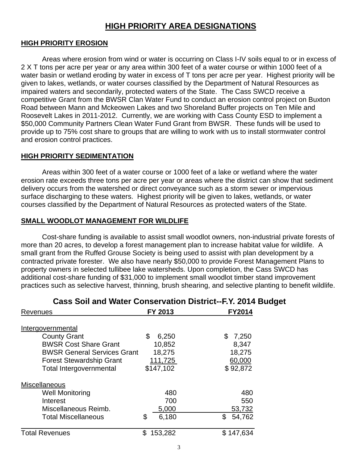## **HIGH PRIORITY AREA DESIGNATIONS**

#### **HIGH PRIORITY EROSION**

Areas where erosion from wind or water is occurring on Class I-IV soils equal to or in excess of 2 X T tons per acre per year or any area within 300 feet of a water course or within 1000 feet of a water basin or wetland eroding by water in excess of T tons per acre per year. Highest priority will be given to lakes, wetlands, or water courses classified by the Department of Natural Resources as impaired waters and secondarily, protected waters of the State. The Cass SWCD receive a competitive Grant from the BWSR Clan Water Fund to conduct an erosion control project on Buxton Road between Mann and Mckeowen Lakes and two Shoreland Buffer projects on Ten Mile and Roosevelt Lakes in 2011-2012. Currently, we are working with Cass County ESD to implement a \$50,000 Community Partners Clean Water Fund Grant from BWSR. These funds will be used to provide up to 75% cost share to groups that are willing to work with us to install stormwater control and erosion control practices.

#### **HIGH PRIORITY SEDIMENTATION**

Areas within 300 feet of a water course or 1000 feet of a lake or wetland where the water erosion rate exceeds three tons per acre per year or areas where the district can show that sediment delivery occurs from the watershed or direct conveyance such as a storm sewer or impervious surface discharging to these waters. Highest priority will be given to lakes, wetlands, or water courses classified by the Department of Natural Resources as protected waters of the State.

#### **SMALL WOODLOT MANAGEMENT FOR WILDLIFE**

Cost-share funding is available to assist small woodlot owners, non-industrial private forests of more than 20 acres, to develop a forest management plan to increase habitat value for wildlife. A small grant from the Ruffed Grouse Society is being used to assist with plan development by a contracted private forester. We also have nearly \$50,000 to provide Forest Management Plans to property owners in selected tullibee lake watersheds. Upon completion, the Cass SWCD has additional cost-share funding of \$31,000 to implement small woodlot timber stand improvement practices such as selective harvest, thinning, brush shearing, and selective planting to benefit wildlife.

| Cass OUII and Watch Cullscreation District -                                                                                                                                        |                                                         | 1.I. LVIT DU                                         |
|-------------------------------------------------------------------------------------------------------------------------------------------------------------------------------------|---------------------------------------------------------|------------------------------------------------------|
| Revenues                                                                                                                                                                            | FY 2013                                                 | <b>FY2014</b>                                        |
| Intergovernmental<br><b>County Grant</b><br><b>BWSR Cost Share Grant</b><br><b>BWSR General Services Grant</b><br><b>Forest Stewardship Grant</b><br><b>Total Intergovernmental</b> | \$<br>6,250<br>10,852<br>18,275<br>111,725<br>\$147,102 | 7,250<br>\$<br>8,347<br>18,275<br>60,000<br>\$92,872 |
| Miscellaneous<br><b>Well Monitoring</b><br>Interest<br>Miscellaneous Reimb.<br><b>Total Miscellaneous</b>                                                                           | 480<br>700<br>5,000<br>\$<br>6,180                      | 480<br>550<br>53,732<br>\$<br>54,762                 |
| <b>Total Revenues</b>                                                                                                                                                               | \$<br>153,282                                           | \$147,634                                            |

## **Cass Soil and Water Conservation District--F.Y. 2014 Budget**